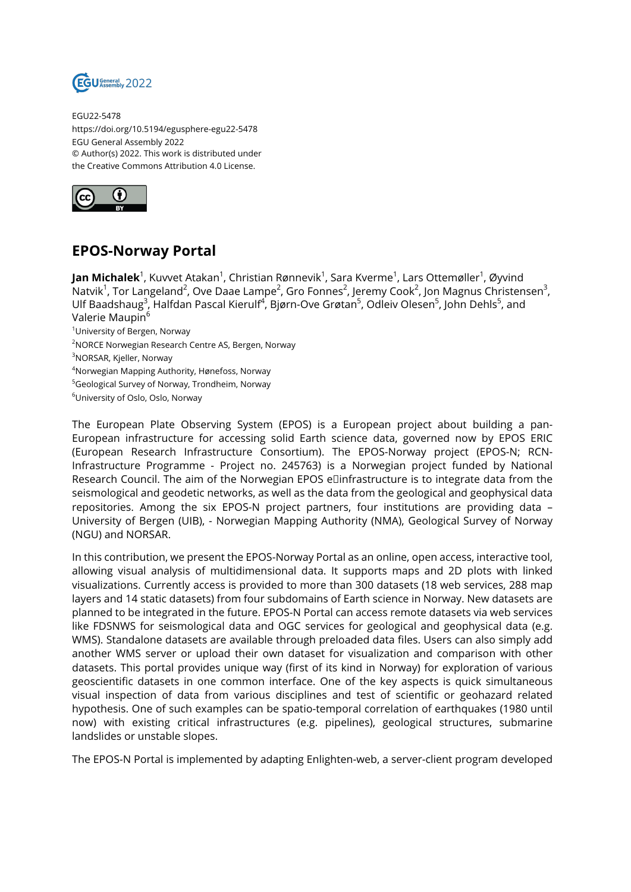

EGU22-5478 https://doi.org/10.5194/egusphere-egu22-5478 EGU General Assembly 2022 © Author(s) 2022. This work is distributed under the Creative Commons Attribution 4.0 License.



## **EPOS-Norway Portal**

**Jan Michalek**<sup>1</sup>, Kuvvet Atakan<sup>1</sup>, Christian Rønnevik<sup>1</sup>, Sara Kverme<sup>1</sup>, Lars Ottemøller<sup>1</sup>, Øyvind Natvik<sup>1</sup>, Tor Langeland<sup>2</sup>, Ove Daae Lampe<sup>2</sup>, Gro Fonnes<sup>2</sup>, Jeremy Cook<sup>2</sup>, Jon Magnus Christensen<sup>3</sup>, Ulf Baadshaug<sup>3</sup>, Halfdan Pascal Kierulf<sup>4</sup>, Bjørn-Ove Grøtan<sup>5</sup>, Odleiv Olesen<sup>5</sup>, John Dehls<sup>5</sup>, and Valerie Maupin<sup>6</sup> <sup>1</sup>University of Bergen, Norway <sup>2</sup>NORCE Norwegian Research Centre AS, Bergen, Norway

<sup>3</sup>NORSAR, Kjeller, Norway

<sup>4</sup>Norwegian Mapping Authority, Hønefoss, Norway

<sup>5</sup>Geological Survey of Norway, Trondheim, Norway

<sup>6</sup>University of Oslo, Oslo, Norway

The European Plate Observing System (EPOS) is a European project about building a pan-European infrastructure for accessing solid Earth science data, governed now by EPOS ERIC (European Research Infrastructure Consortium). The EPOS-Norway project (EPOS-N; RCN-Infrastructure Programme - Project no. 245763) is a Norwegian project funded by National Research Council. The aim of the Norwegian EPOS eDinfrastructure is to integrate data from the seismological and geodetic networks, as well as the data from the geological and geophysical data repositories. Among the six EPOS-N project partners, four institutions are providing data – University of Bergen (UIB), - Norwegian Mapping Authority (NMA), Geological Survey of Norway (NGU) and NORSAR.

In this contribution, we present the EPOS-Norway Portal as an online, open access, interactive tool, allowing visual analysis of multidimensional data. It supports maps and 2D plots with linked visualizations. Currently access is provided to more than 300 datasets (18 web services, 288 map layers and 14 static datasets) from four subdomains of Earth science in Norway. New datasets are planned to be integrated in the future. EPOS-N Portal can access remote datasets via web services like FDSNWS for seismological data and OGC services for geological and geophysical data (e.g. WMS). Standalone datasets are available through preloaded data files. Users can also simply add another WMS server or upload their own dataset for visualization and comparison with other datasets. This portal provides unique way (first of its kind in Norway) for exploration of various geoscientific datasets in one common interface. One of the key aspects is quick simultaneous visual inspection of data from various disciplines and test of scientific or geohazard related hypothesis. One of such examples can be spatio-temporal correlation of earthquakes (1980 until now) with existing critical infrastructures (e.g. pipelines), geological structures, submarine landslides or unstable slopes.

The EPOS-N Portal is implemented by adapting Enlighten-web, a server-client program developed